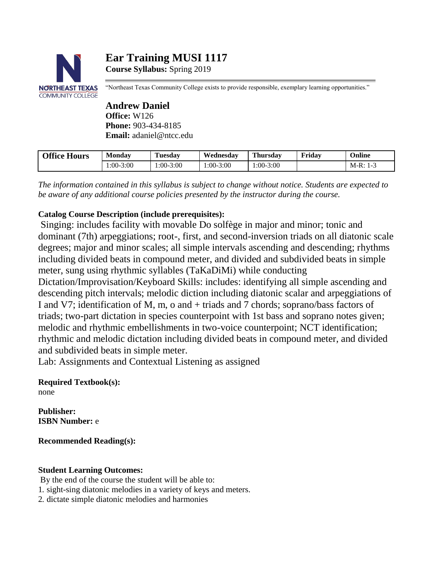# **Ear Training MUSI 1117 Course Syllabus:** Spring 2019



"Northeast Texas Community College exists to provide responsible, exemplary learning opportunities."

# **Andrew Daniel Office:** W126 **Phone:** 903-434-8185 **Email:** [adaniel@ntcc.edu](mailto:adaniel@ntcc.edu)

| <b>Office Hours</b> | Monday      | Tuesday     | Wednesdav | Thursdav  | <b>Friday</b> | Online     |
|---------------------|-------------|-------------|-----------|-----------|---------------|------------|
|                     | $1:00-3:00$ | $1:00-3:00$ | 1:00-3:00 | 1:00-3:00 |               | $M-R: 1-3$ |

*The information contained in this syllabus is subject to change without notice. Students are expected to be aware of any additional course policies presented by the instructor during the course.*

# **Catalog Course Description (include prerequisites):**

Singing: includes facility with movable Do solfège in major and minor; tonic and dominant (7th) arpeggiations; root-, first, and second-inversion triads on all diatonic scale degrees; major and minor scales; all simple intervals ascending and descending; rhythms including divided beats in compound meter, and divided and subdivided beats in simple meter, sung using rhythmic syllables (TaKaDiMi) while conducting

Dictation/Improvisation/Keyboard Skills: includes: identifying all simple ascending and descending pitch intervals; melodic diction including diatonic scalar and arpeggiations of I and V7; identification of M, m, o and + triads and 7 chords; soprano/bass factors of triads; two-part dictation in species counterpoint with 1st bass and soprano notes given; melodic and rhythmic embellishments in two-voice counterpoint; NCT identification; rhythmic and melodic dictation including divided beats in compound meter, and divided and subdivided beats in simple meter.

Lab: Assignments and Contextual Listening as assigned

#### **Required Textbook(s):** none

**Publisher: ISBN Number:** e

**Recommended Reading(s):**

# **Student Learning Outcomes:**

By the end of the course the student will be able to: 1. sight-sing diatonic melodies in a variety of keys and meters. 2. dictate simple diatonic melodies and harmonies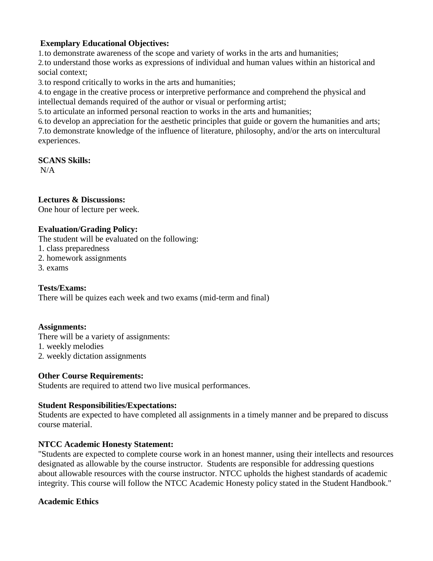# **Exemplary Educational Objectives:**

1.to demonstrate awareness of the scope and variety of works in the arts and humanities;

2.to understand those works as expressions of individual and human values within an historical and social context;

3.to respond critically to works in the arts and humanities;

4.to engage in the creative process or interpretive performance and comprehend the physical and intellectual demands required of the author or visual or performing artist;

5.to articulate an informed personal reaction to works in the arts and humanities;

6.to develop an appreciation for the aesthetic principles that guide or govern the humanities and arts; 7.to demonstrate knowledge of the influence of literature, philosophy, and/or the arts on intercultural experiences.

### **SCANS Skills:**

 $N/A$ 

# **Lectures & Discussions:**

One hour of lecture per week.

### **Evaluation/Grading Policy:**

The student will be evaluated on the following:

- 1. class preparedness
- 2. homework assignments
- 3. exams

### **Tests/Exams:**

There will be quizes each week and two exams (mid-term and final)

### **Assignments:**

There will be a variety of assignments:

1. weekly melodies

2. weekly dictation assignments

### **Other Course Requirements:**

Students are required to attend two live musical performances.

#### **Student Responsibilities/Expectations:**

Students are expected to have completed all assignments in a timely manner and be prepared to discuss course material.

### **NTCC Academic Honesty Statement:**

"Students are expected to complete course work in an honest manner, using their intellects and resources designated as allowable by the course instructor. Students are responsible for addressing questions about allowable resources with the course instructor. NTCC upholds the highest standards of academic integrity. This course will follow the NTCC Academic Honesty policy stated in the Student Handbook."

#### **Academic Ethics**